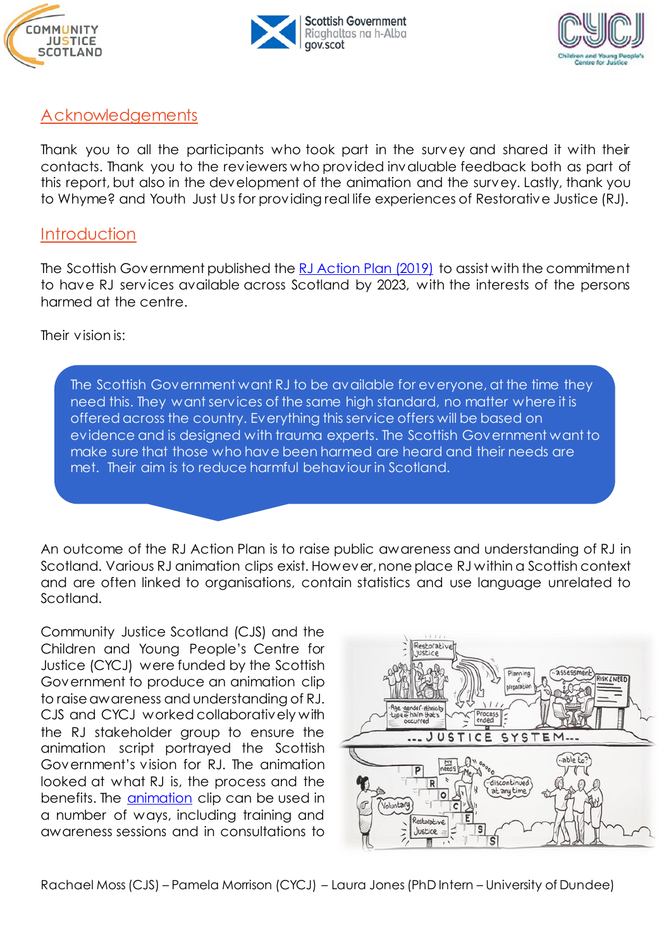





# Acknowledgements

Thank you to all the participants who took part in the survey and shared it with their contacts. Thank you to the reviewers who provided invaluable feedback both as part of this report, but also in the development of the animation and the survey. Lastly, thank you to Whyme? and Youth Just Us for providing real life experiences of Restorative Justice (RJ).

## **Introduction**

The Scottish Government published the [RJ Action Plan \(2019\)](https://www.gov.scot/publications/restorative-justice-action-plan/pages/2/) to assist with the commitment to have RJ services available across Scotland by 2023, with the interests of the persons harmed at the centre.

Their vision is:

The Scottish Government want RJ to be available for everyone, at the time they the need this. They want services of the same high standard, no matter where it is offered across the country. Everything this service offers will be based on evidence and is designed with trauma experts. The Scottish Government want to make sure that those who have been harmed are heard and their needs are met. Their aim is to reduce harmful behaviour in Scotland.

An outcome of the RJ Action Plan is to raise public awareness and understanding of RJ in Scotland. Various RJ animation clips exist. However, none place RJ within a Scottish context and are often linked to organisations, contain statistics and use language unrelated to Scotland.

Community Justice Scotland (CJS) and the Children and Young People's Centre for Justice (CYCJ) were funded by the Scottish Government to produce an animation clip to raise awareness and understanding of RJ. CJS and CYCJ worked collaboratively with the RJ stakeholder group to ensure the animation script portrayed the Scottish Government's vision for RJ. The animation looked at what RJ is, the process and the benefits. The [animation](https://youtu.be/kKO4xSQvpWQ) clip can be used in a number of ways, including training and awareness sessions and in consultations to

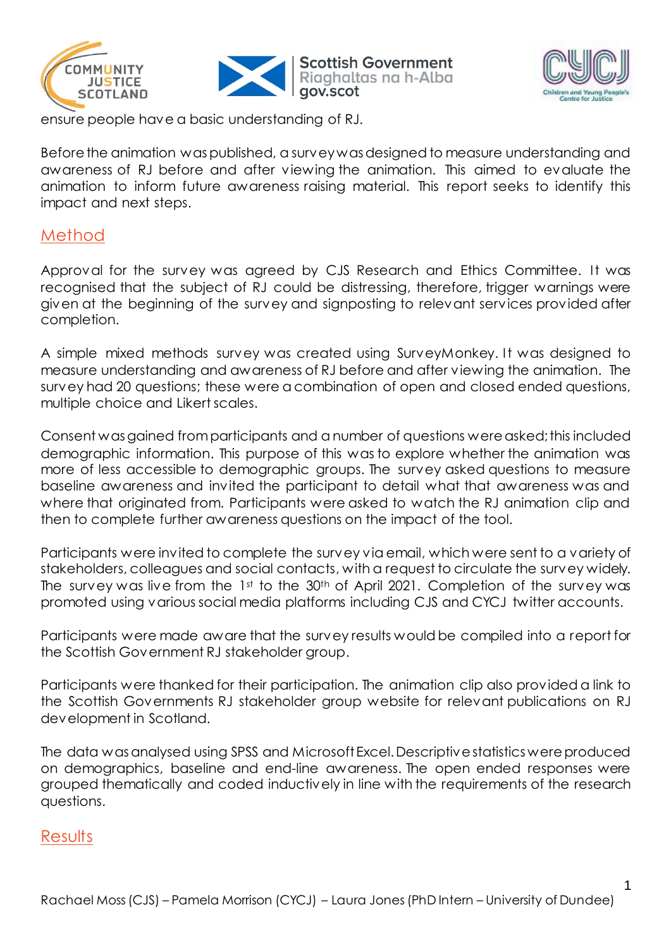





1

ensure people have a basic understanding of RJ.

Before the animation was published, a survey was designed to measure understanding and awareness of RJ before and after viewing the animation. This aimed to evaluate the animation to inform future awareness raising material. This report seeks to identify this impact and next steps.

## Method

Approval for the survey was agreed by CJS Research and Ethics Committee. It was recognised that the subject of RJ could be distressing, therefore, trigger warnings were given at the beginning of the survey and signposting to relevant services provided after completion.

A simple mixed methods survey was created using SurveyMonkey. It was designed to measure understanding and awareness of RJ before and after viewing the animation. The survey had 20 questions; these were a combination of open and closed ended questions, multiple choice and Likert scales.

Consent was gained from participants and a number of questions were asked; this included demographic information. This purpose of this was to explore whether the animation was more of less accessible to demographic groups. The survey asked questions to measure baseline awareness and invited the participant to detail what that awareness was and where that originated from. Participants were asked to watch the RJ animation clip and then to complete further awareness questions on the impact of the tool.

Participants were invited to complete the survey via email, which were sent to a variety of stakeholders, colleagues and social contacts, with a request to circulate the survey widely. The survey was live from the 1st to the 30<sup>th</sup> of April 2021. Completion of the survey was promoted using various social media platforms including CJS and CYCJ twitter accounts.

Participants were made aware that the survey results would be compiled into a report for the Scottish Government RJ stakeholder group.

Participants were thanked for their participation. The animation clip also provided a link to the Scottish Governments RJ stakeholder group website for relevant publications on RJ development in Scotland.

The data was analysed using SPSS and Microsoft Excel. Descriptive statistics were produced on demographics, baseline and end-line awareness. The open ended responses were grouped thematically and coded inductively in line with the requirements of the research questions.

## Results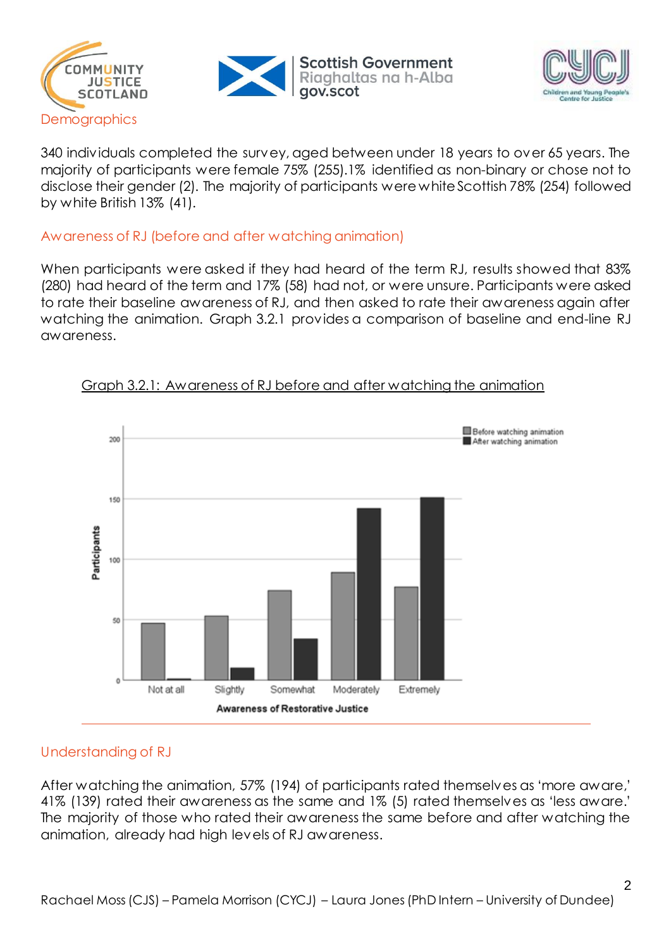





340 individuals completed the survey, aged between under 18 years to over 65 years. The majority of participants were female 75% (255).1% identified as non-binary or chose not to disclose their gender (2). The majority of participants were white Scottish 78% (254) followed by white British 13% (41).

### Awareness of RJ (before and after watching animation)

When participants were asked if they had heard of the term RJ, results showed that 83% (280) had heard of the term and 17% (58) had not, or were unsure. Participants were asked to rate their baseline awareness of RJ, and then asked to rate their awareness again after watching the animation. Graph 3.2.1 provides a comparison of baseline and end-line RJ awareness.



#### Graph 3.2.1: Awareness of RJ before and after watching the animation

### Understanding of RJ

After watching the animation, 57% (194) of participants rated themselves as 'more aware,' 41% (139) rated their awareness as the same and 1% (5) rated themselves as 'less aware.' The majority of those who rated their awareness the same before and after watching the animation, already had high levels of RJ awareness.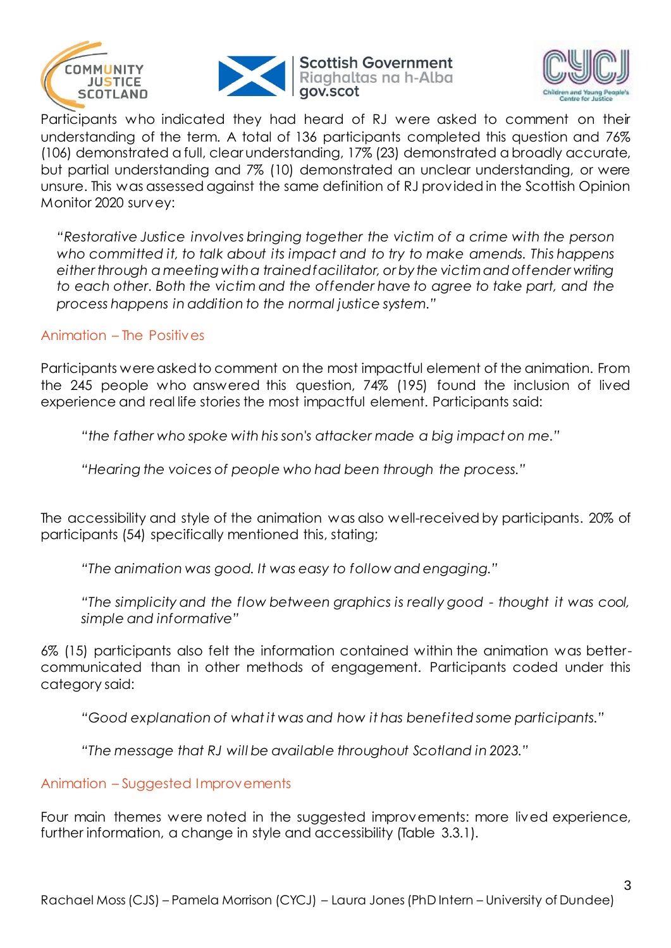





Participants who indicated they had heard of RJ were asked to comment on their understanding of the term. A total of 136 participants completed this question and 76% (106) demonstrated a full, clear understanding, 17% (23) demonstrated a broadly accurate, but partial understanding and 7% (10) demonstrated an unclear understanding, or were unsure. This was assessed against the same definition of RJ provided in the Scottish Opinion Monitor 2020 survey:

*"Restorative Justice involves bringing together the victim of a crime with the person who committed it, to talk about its impact and to try to make amends. This happens either through a meeting with a trained facilitator, or by the victim and offender writing to each other. Both the victim and the offender have to agree to take part, and the process happens in addition to the normal justice system."* 

### Animation – The Positives

Participants were asked to comment on the most impactful element of the animation. From the 245 people who answered this question, 74% (195) found the inclusion of lived experience and real life stories the most impactful element. Participants said:

*"the father who spoke with his son's attacker made a big impact on me."*

*"Hearing the voices of people who had been through the process."*

The accessibility and style of the animation was also well-received by participants. 20% of participants (54) specifically mentioned this, stating;

*"The animation was good. It was easy to follow and engaging."*

*"The simplicity and the flow between graphics is really good - thought it was cool, simple and informative"*

6% (15) participants also felt the information contained within the animation was bettercommunicated than in other methods of engagement. Participants coded under this category said:

*"Good explanation of what it was and how it has benefited some participants."*

*"The message that RJ will be available throughout Scotland in 2023."*

Animation – Suggested Improvements

Four main themes were noted in the suggested improvements: more lived experience, further information, a change in style and accessibility (Table 3.3.1).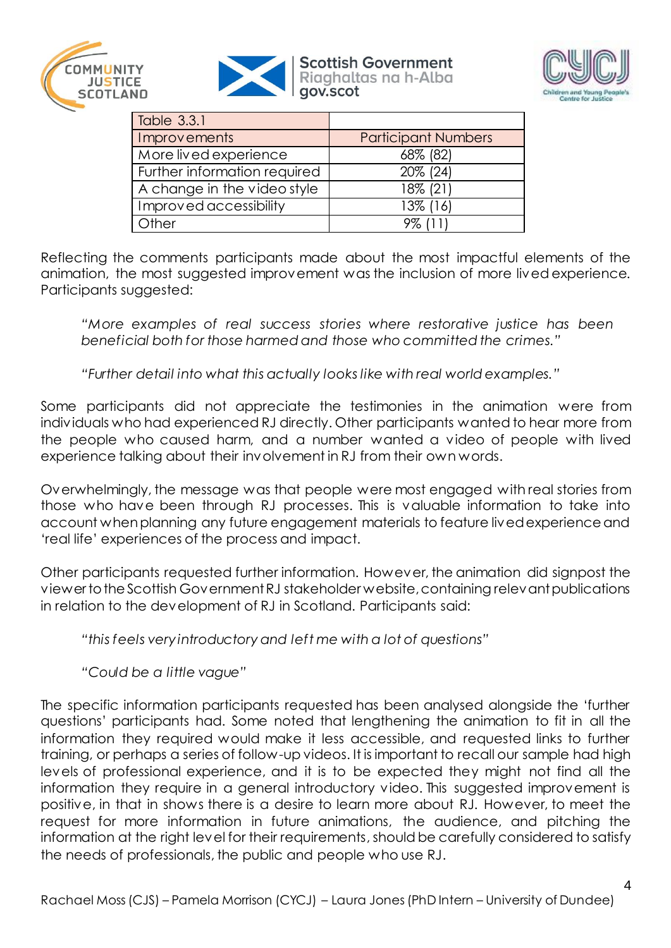



#### **Scottish Government** Riaghaltas na h-Alba gov.scot



| Table 3.3.1                  |                            |
|------------------------------|----------------------------|
| Improvements                 | <b>Participant Numbers</b> |
| More lived experience        | 68% (82)                   |
| Further information required | 20% (24)                   |
| A change in the video style  | 18% (21)                   |
| Improved accessibility       | 13% (16)                   |
| Other                        | 9% (11)                    |

Reflecting the comments participants made about the most impactful elements of the animation, the most suggested improvement was the inclusion of more lived experience. Participants suggested:

*"More examples of real success stories where restorative justice has been beneficial both for those harmed and those who committed the crimes."*

*"Further detail into what this actually looks like with real world examples."*

Some participants did not appreciate the testimonies in the animation were from individuals who had experienced RJ directly. Other participants wanted to hear more from the people who caused harm, and a number wanted a video of people with lived experience talking about their involvement in RJ from their own words.

Overwhelmingly, the message was that people were most engaged with real stories from those who have been through RJ processes. This is valuable information to take into account when planning any future engagement materials to feature lived experience and 'real life' experiences of the process and impact.

Other participants requested further information. However, the animation did signpost the viewer to the Scottish Government RJ stakeholder website, containing relevant publications in relation to the development of RJ in Scotland. Participants said:

*"this feels very introductory and left me with a lot of questions"*

*"Could be a little vague"*

The specific information participants requested has been analysed alongside the 'further questions' participants had. Some noted that lengthening the animation to fit in all the information they required would make it less accessible, and requested links to further training, or perhaps a series of follow-up videos. It is important to recall our sample had high levels of professional experience, and it is to be expected they might not find all the information they require in a general introductory video. This suggested improvement is positive, in that in shows there is a desire to learn more about RJ. However, to meet the request for more information in future animations, the audience, and pitching the information at the right level for their requirements, should be carefully considered to satisfy the needs of professionals, the public and people who use RJ.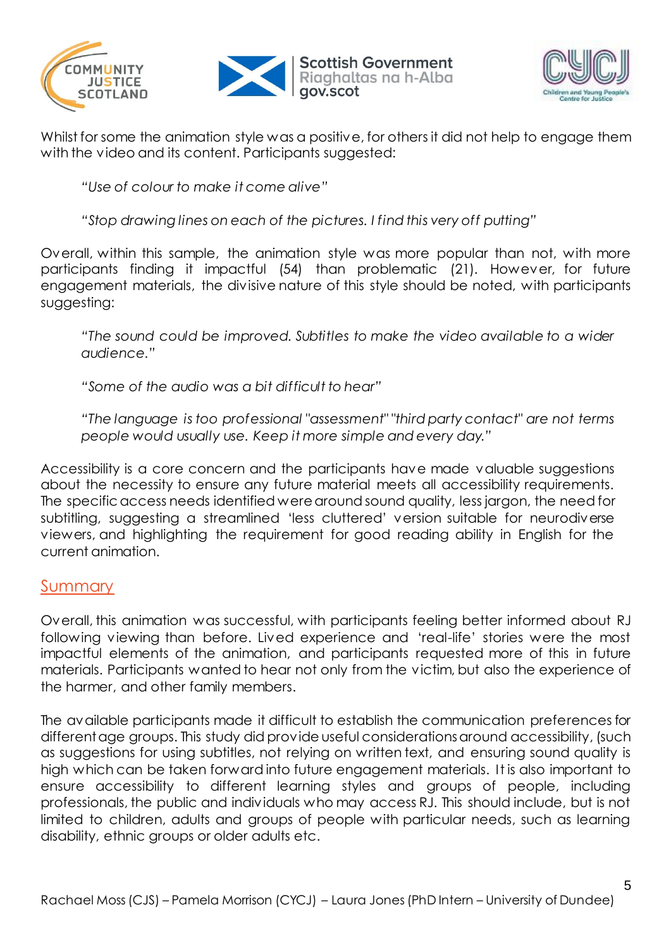





Whilst for some the animation style was a positive, for others it did not help to engage them with the video and its content. Participants suggested:

*"Use of colour to make it come alive"*

*"Stop drawing lines on each of the pictures. I find this very off putting"*

Overall, within this sample, the animation style was more popular than not, with more participants finding it impactful (54) than problematic (21). However, for future engagement materials, the divisive nature of this style should be noted, with participants suggesting:

*"The sound could be improved. Subtitles to make the video available to a wider audience."*

*"Some of the audio was a bit difficult to hear"*

*"The language is too professional "assessment" "third party contact" are not terms people would usually use. Keep it more simple and every day."*

Accessibility is a core concern and the participants have made valuable suggestions about the necessity to ensure any future material meets all accessibility requirements. The specific access needs identified were around sound quality, less jargon, the need for subtitling, suggesting a streamlined 'less cluttered' version suitable for neurodiverse viewers, and highlighting the requirement for good reading ability in English for the current animation.

## **Summary**

Overall, this animation was successful, with participants feeling better informed about RJ following viewing than before. Lived experience and 'real-life' stories were the most impactful elements of the animation, and participants requested more of this in future materials. Participants wanted to hear not only from the victim, but also the experience of the harmer, and other family members.

The available participants made it difficult to establish the communication preferences for different age groups. This study did provide useful considerations around accessibility, (such as suggestions for using subtitles, not relying on written text, and ensuring sound quality is high which can be taken forward into future engagement materials. It is also important to ensure accessibility to different learning styles and groups of people, including professionals, the public and individuals who may access RJ. This should include, but is not limited to children, adults and groups of people with particular needs, such as learning disability, ethnic groups or older adults etc.